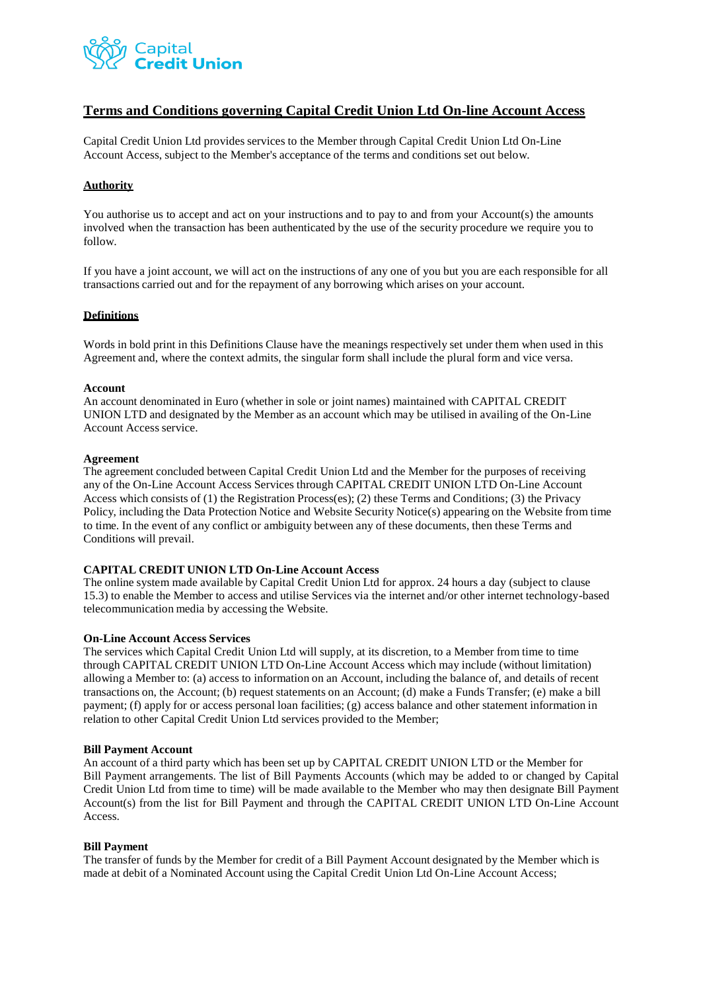

## **Terms and Conditions governing Capital Credit Union Ltd On-line Account Access**

Capital Credit Union Ltd provides services to the Member through Capital Credit Union Ltd On-Line Account Access, subject to the Member's acceptance of the terms and conditions set out below.

## **Authority**

You authorise us to accept and act on your instructions and to pay to and from your Account(s) the amounts involved when the transaction has been authenticated by the use of the security procedure we require you to follow.

If you have a joint account, we will act on the instructions of any one of you but you are each responsible for all transactions carried out and for the repayment of any borrowing which arises on your account.

#### **Definitions**

Words in bold print in this Definitions Clause have the meanings respectively set under them when used in this Agreement and, where the context admits, the singular form shall include the plural form and vice versa.

#### **Account**

An account denominated in Euro (whether in sole or joint names) maintained with CAPITAL CREDIT UNION LTD and designated by the Member as an account which may be utilised in availing of the On-Line Account Access service.

#### **Agreement**

The agreement concluded between Capital Credit Union Ltd and the Member for the purposes of receiving any of the On-Line Account Access Services through CAPITAL CREDIT UNION LTD On-Line Account Access which consists of (1) the Registration Process(es); (2) these Terms and Conditions; (3) the Privacy Policy, including the Data Protection Notice and Website Security Notice(s) appearing on the Website from time to time. In the event of any conflict or ambiguity between any of these documents, then these Terms and Conditions will prevail.

## **CAPITAL CREDIT UNION LTD On-Line Account Access**

The online system made available by Capital Credit Union Ltd for approx. 24 hours a day (subject to clause 15.3) to enable the Member to access and utilise Services via the internet and/or other internet technology-based telecommunication media by accessing the Website.

#### **On-Line Account Access Services**

The services which Capital Credit Union Ltd will supply, at its discretion, to a Member from time to time through CAPITAL CREDIT UNION LTD On-Line Account Access which may include (without limitation) allowing a Member to: (a) access to information on an Account, including the balance of, and details of recent transactions on, the Account; (b) request statements on an Account; (d) make a Funds Transfer; (e) make a bill payment; (f) apply for or access personal loan facilities; (g) access balance and other statement information in relation to other Capital Credit Union Ltd services provided to the Member;

#### **Bill Payment Account**

An account of a third party which has been set up by CAPITAL CREDIT UNION LTD or the Member for Bill Payment arrangements. The list of Bill Payments Accounts (which may be added to or changed by Capital Credit Union Ltd from time to time) will be made available to the Member who may then designate Bill Payment Account(s) from the list for Bill Payment and through the CAPITAL CREDIT UNION LTD On-Line Account Access.

#### **Bill Payment**

The transfer of funds by the Member for credit of a Bill Payment Account designated by the Member which is made at debit of a Nominated Account using the Capital Credit Union Ltd On-Line Account Access;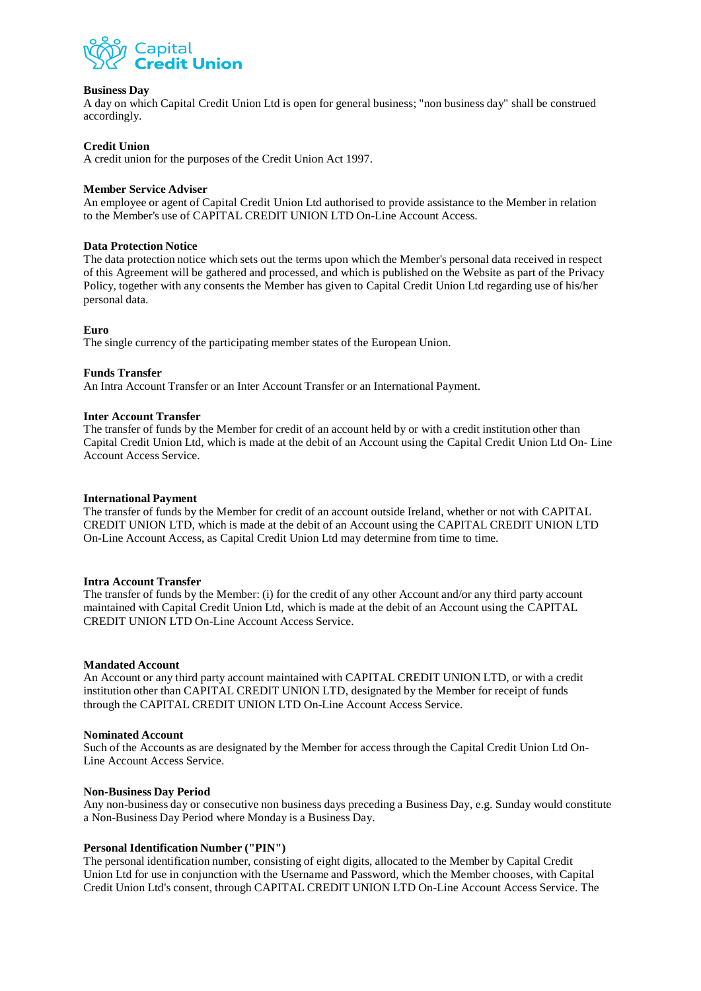

## **Business Day**

A day on which Capital Credit Union Ltd is open for general business; "non business day" shall be construed accordingly.

## **Credit Union**

A credit union for the purposes of the Credit Union Act 1997.

## **Member Service Adviser**

An employee or agent of Capital Credit Union Ltd authorised to provide assistance to the Member in relation to the Member's use of CAPITAL CREDIT UNION LTD On-Line Account Access.

#### **Data Protection Notice**

The data protection notice which sets out the terms upon which the Member's personal data received in respect of this Agreement will be gathered and processed, and which is published on the Website as part of the Privacy Policy, together with any consents the Member has given to Capital Credit Union Ltd regarding use of his/her personal data.

#### **Euro**

The single currency of the participating member states of the European Union.

#### **Funds Transfer**

An Intra Account Transfer or an Inter Account Transfer or an International Payment.

#### **Inter Account Transfer**

The transfer of funds by the Member for credit of an account held by or with a credit institution other than Capital Credit Union Ltd, which is made at the debit of an Account using the Capital Credit Union Ltd On- Line Account Access Service.

#### **International Payment**

The transfer of funds by the Member for credit of an account outside Ireland, whether or not with CAPITAL CREDIT UNION LTD, which is made at the debit of an Account using the CAPITAL CREDIT UNION LTD On-Line Account Access, as Capital Credit Union Ltd may determine from time to time.

#### **Intra Account Transfer**

The transfer of funds by the Member: (i) for the credit of any other Account and/or any third party account maintained with Capital Credit Union Ltd, which is made at the debit of an Account using the CAPITAL CREDIT UNION LTD On-Line Account Access Service.

#### **Mandated Account**

An Account or any third party account maintained with CAPITAL CREDIT UNION LTD, or with a credit institution other than CAPITAL CREDIT UNION LTD, designated by the Member for receipt of funds through the CAPITAL CREDIT UNION LTD On-Line Account Access Service.

#### **Nominated Account**

Such of the Accounts as are designated by the Member for access through the Capital Credit Union Ltd On-Line Account Access Service.

## **Non-Business Day Period**

Any non-business day or consecutive non business days preceding a Business Day, e.g. Sunday would constitute a Non-Business Day Period where Monday is a Business Day.

#### **Personal Identification Number ("PIN")**

The personal identification number, consisting of eight digits, allocated to the Member by Capital Credit Union Ltd for use in conjunction with the Username and Password, which the Member chooses, with Capital Credit Union Ltd's consent, through CAPITAL CREDIT UNION LTD On-Line Account Access Service. The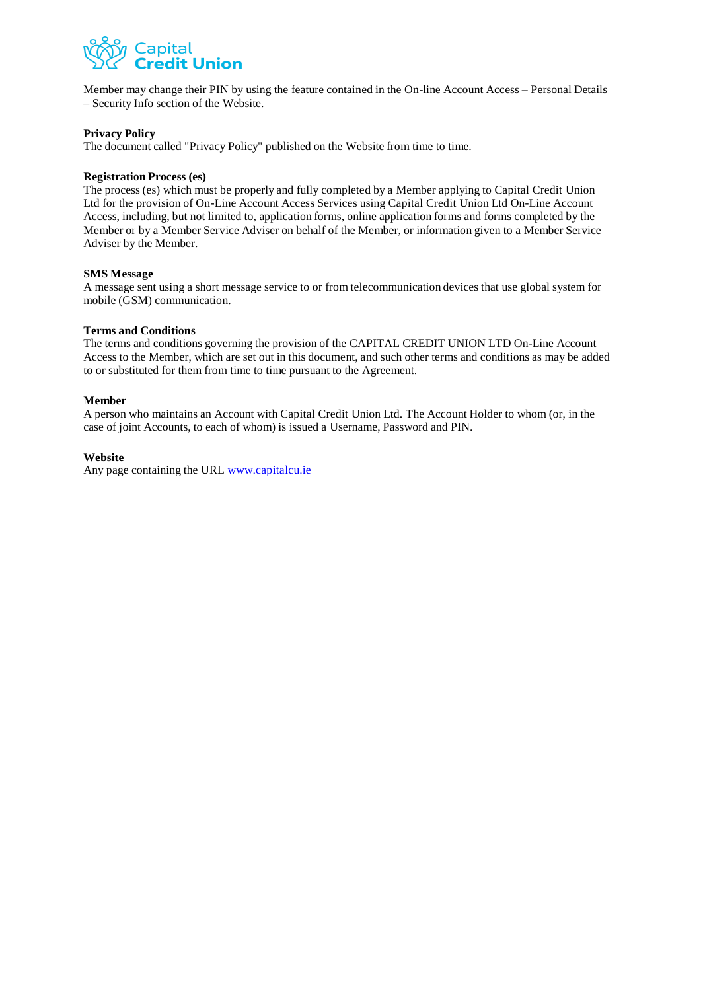

Member may change their PIN by using the feature contained in the On-line Account Access – Personal Details – Security Info section of the Website.

## **Privacy Policy**

The document called "Privacy Policy" published on the Website from time to time.

## **Registration Process (es)**

The process (es) which must be properly and fully completed by a Member applying to Capital Credit Union Ltd for the provision of On-Line Account Access Services using Capital Credit Union Ltd On-Line Account Access, including, but not limited to, application forms, online application forms and forms completed by the Member or by a Member Service Adviser on behalf of the Member, or information given to a Member Service Adviser by the Member.

#### **SMS Message**

A message sent using a short message service to or from telecommunication devices that use global system for mobile (GSM) communication.

#### **Terms and Conditions**

The terms and conditions governing the provision of the CAPITAL CREDIT UNION LTD On-Line Account Access to the Member, which are set out in this document, and such other terms and conditions as may be added to or substituted for them from time to time pursuant to the Agreement.

## **Member**

A person who maintains an Account with Capital Credit Union Ltd. The Account Holder to whom (or, in the case of joint Accounts, to each of whom) is issued a Username, Password and PIN.

## **Website**

Any page containing the URL [www.capitalcu.ie](http://www.capitalcu.ie/)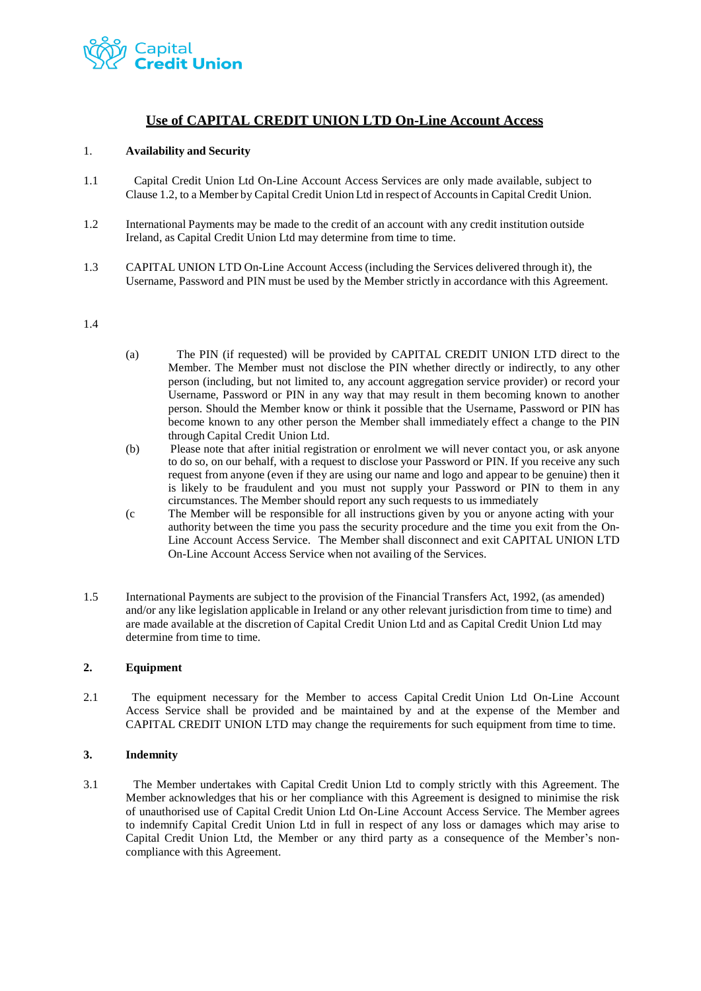

## **Use of CAPITAL CREDIT UNION LTD On-Line Account Access**

## 1. **Availability and Security**

- 1.1 Capital Credit Union Ltd On-Line Account Access Services are only made available, subject to Clause 1.2, to a Member by Capital Credit Union Ltd in respect of Accountsin Capital Credit Union.
- 1.2 International Payments may be made to the credit of an account with any credit institution outside Ireland, as Capital Credit Union Ltd may determine from time to time.
- 1.3 CAPITAL UNION LTD On-Line Account Access (including the Services delivered through it), the Username, Password and PIN must be used by the Member strictly in accordance with this Agreement.

## 1.4

- (a) The PIN (if requested) will be provided by CAPITAL CREDIT UNION LTD direct to the Member. The Member must not disclose the PIN whether directly or indirectly, to any other person (including, but not limited to, any account aggregation service provider) or record your Username, Password or PIN in any way that may result in them becoming known to another person. Should the Member know or think it possible that the Username, Password or PIN has become known to any other person the Member shall immediately effect a change to the PIN through Capital Credit Union Ltd.
- (b) Please note that after initial registration or enrolment we will never contact you, or ask anyone to do so, on our behalf, with a request to disclose your Password or PIN. If you receive any such request from anyone (even if they are using our name and logo and appear to be genuine) then it is likely to be fraudulent and you must not supply your Password or PIN to them in any circumstances. The Member should report any such requests to us immediately
- (c The Member will be responsible for all instructions given by you or anyone acting with your authority between the time you pass the security procedure and the time you exit from the On-Line Account Access Service. The Member shall disconnect and exit CAPITAL UNION LTD On-Line Account Access Service when not availing of the Services.
- 1.5 International Payments are subject to the provision of the Financial Transfers Act, 1992, (as amended) and/or any like legislation applicable in Ireland or any other relevant jurisdiction from time to time) and are made available at the discretion of Capital Credit Union Ltd and as Capital Credit Union Ltd may determine from time to time.

## **2. Equipment**

2.1 The equipment necessary for the Member to access Capital Credit Union Ltd On-Line Account Access Service shall be provided and be maintained by and at the expense of the Member and CAPITAL CREDIT UNION LTD may change the requirements for such equipment from time to time.

## **3. Indemnity**

3.1 The Member undertakes with Capital Credit Union Ltd to comply strictly with this Agreement. The Member acknowledges that his or her compliance with this Agreement is designed to minimise the risk of unauthorised use of Capital Credit Union Ltd On-Line Account Access Service. The Member agrees to indemnify Capital Credit Union Ltd in full in respect of any loss or damages which may arise to Capital Credit Union Ltd, the Member or any third party as a consequence of the Member's noncompliance with this Agreement.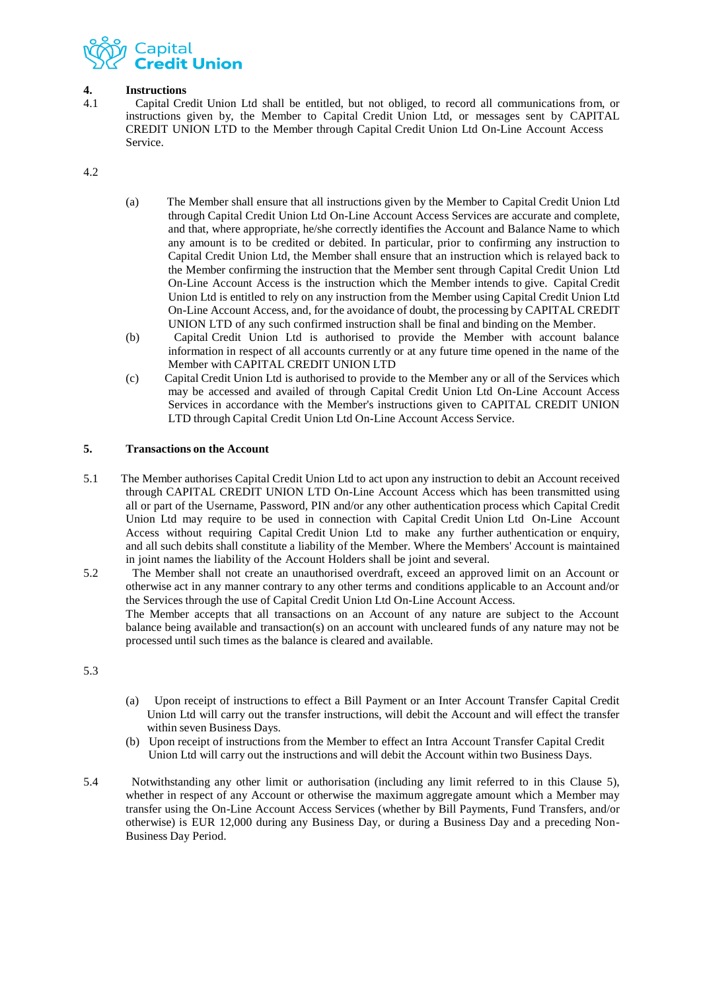

# **4. Instructions**<br>4.1 **Capital Cre**

4.1 Capital Credit Union Ltd shall be entitled, but not obliged, to record all communications from, or instructions given by, the Member to Capital Credit Union Ltd, or messages sent by CAPITAL CREDIT UNION LTD to the Member through Capital Credit Union Ltd On-Line Account Access Service.

4.2

- (a) The Member shall ensure that all instructions given by the Member to Capital Credit Union Ltd through Capital Credit Union Ltd On-Line Account Access Services are accurate and complete, and that, where appropriate, he/she correctly identifies the Account and Balance Name to which any amount is to be credited or debited. In particular, prior to confirming any instruction to Capital Credit Union Ltd, the Member shall ensure that an instruction which is relayed back to the Member confirming the instruction that the Member sent through Capital Credit Union Ltd On-Line Account Access is the instruction which the Member intends to give. Capital Credit Union Ltd is entitled to rely on any instruction from the Member using Capital Credit Union Ltd On-Line Account Access, and, for the avoidance of doubt, the processing by CAPITAL CREDIT UNION LTD of any such confirmed instruction shall be final and binding on the Member.
- (b) Capital Credit Union Ltd is authorised to provide the Member with account balance information in respect of all accounts currently or at any future time opened in the name of the Member with CAPITAL CREDIT UNION LTD
- (c) Capital Credit Union Ltd is authorised to provide to the Member any or all of the Services which may be accessed and availed of through Capital Credit Union Ltd On-Line Account Access Services in accordance with the Member's instructions given to CAPITAL CREDIT UNION LTD through Capital Credit Union Ltd On-Line Account Access Service.

## **5. Transactions on the Account**

- 5.1 The Member authorises Capital Credit Union Ltd to act upon any instruction to debit an Account received through CAPITAL CREDIT UNION LTD On-Line Account Access which has been transmitted using all or part of the Username, Password, PIN and/or any other authentication process which Capital Credit Union Ltd may require to be used in connection with Capital Credit Union Ltd On-Line Account Access without requiring Capital Credit Union Ltd to make any further authentication or enquiry, and all such debits shall constitute a liability of the Member. Where the Members' Account is maintained in joint names the liability of the Account Holders shall be joint and several.
- 5.2 The Member shall not create an unauthorised overdraft, exceed an approved limit on an Account or otherwise act in any manner contrary to any other terms and conditions applicable to an Account and/or the Services through the use of Capital Credit Union Ltd On-Line Account Access. The Member accepts that all transactions on an Account of any nature are subject to the Account balance being available and transaction(s) on an account with uncleared funds of any nature may not be processed until such times as the balance is cleared and available.

5.3

- (a) Upon receipt of instructions to effect a Bill Payment or an Inter Account Transfer Capital Credit Union Ltd will carry out the transfer instructions, will debit the Account and will effect the transfer within seven Business Days.
- (b) Upon receipt of instructions from the Member to effect an Intra Account Transfer Capital Credit Union Ltd will carry out the instructions and will debit the Account within two Business Days.
- 5.4 Notwithstanding any other limit or authorisation (including any limit referred to in this Clause 5), whether in respect of any Account or otherwise the maximum aggregate amount which a Member may transfer using the On-Line Account Access Services (whether by Bill Payments, Fund Transfers, and/or otherwise) is EUR 12,000 during any Business Day, or during a Business Day and a preceding Non-Business Day Period.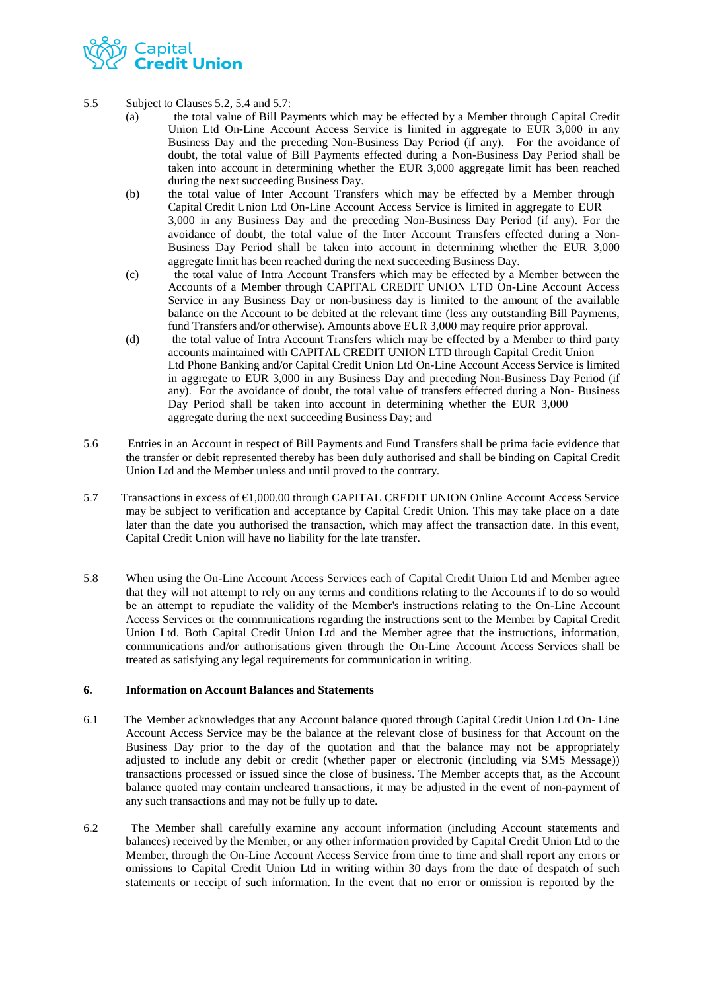

- 5.5 Subject to Clauses 5.2, 5.4 and 5.7:
	- (a) the total value of Bill Payments which may be effected by a Member through Capital Credit Union Ltd On-Line Account Access Service is limited in aggregate to EUR 3,000 in any Business Day and the preceding Non-Business Day Period (if any). For the avoidance of doubt, the total value of Bill Payments effected during a Non-Business Day Period shall be taken into account in determining whether the EUR 3,000 aggregate limit has been reached during the next succeeding Business Day.
	- (b) the total value of Inter Account Transfers which may be effected by a Member through Capital Credit Union Ltd On-Line Account Access Service is limited in aggregate to EUR 3,000 in any Business Day and the preceding Non-Business Day Period (if any). For the avoidance of doubt, the total value of the Inter Account Transfers effected during a Non-Business Day Period shall be taken into account in determining whether the EUR 3,000 aggregate limit has been reached during the next succeeding Business Day.
	- (c) the total value of Intra Account Transfers which may be effected by a Member between the Accounts of a Member through CAPITAL CREDIT UNION LTD On-Line Account Access Service in any Business Day or non-business day is limited to the amount of the available balance on the Account to be debited at the relevant time (less any outstanding Bill Payments, fund Transfers and/or otherwise). Amounts above EUR 3,000 may require prior approval.
	- (d) the total value of Intra Account Transfers which may be effected by a Member to third party accounts maintained with CAPITAL CREDIT UNION LTD through Capital Credit Union Ltd Phone Banking and/or Capital Credit Union Ltd On-Line Account Access Service is limited in aggregate to EUR 3,000 in any Business Day and preceding Non-Business Day Period (if any). For the avoidance of doubt, the total value of transfers effected during a Non- Business Day Period shall be taken into account in determining whether the EUR 3,000 aggregate during the next succeeding Business Day; and
- 5.6 Entries in an Account in respect of Bill Payments and Fund Transfers shall be prima facie evidence that the transfer or debit represented thereby has been duly authorised and shall be binding on Capital Credit Union Ltd and the Member unless and until proved to the contrary.
- 5.7 Transactions in excess of €1,000.00 through CAPITAL CREDIT UNION Online Account Access Service may be subject to verification and acceptance by Capital Credit Union. This may take place on a date later than the date you authorised the transaction, which may affect the transaction date. In this event, Capital Credit Union will have no liability for the late transfer.
- 5.8 When using the On-Line Account Access Services each of Capital Credit Union Ltd and Member agree that they will not attempt to rely on any terms and conditions relating to the Accounts if to do so would be an attempt to repudiate the validity of the Member's instructions relating to the On-Line Account Access Services or the communications regarding the instructions sent to the Member by Capital Credit Union Ltd. Both Capital Credit Union Ltd and the Member agree that the instructions, information, communications and/or authorisations given through the On-Line Account Access Services shall be treated as satisfying any legal requirements for communication in writing.

## **6. Information on Account Balances and Statements**

- 6.1 The Member acknowledges that any Account balance quoted through Capital Credit Union Ltd On- Line Account Access Service may be the balance at the relevant close of business for that Account on the Business Day prior to the day of the quotation and that the balance may not be appropriately adjusted to include any debit or credit (whether paper or electronic (including via SMS Message)) transactions processed or issued since the close of business. The Member accepts that, as the Account balance quoted may contain uncleared transactions, it may be adjusted in the event of non-payment of any such transactions and may not be fully up to date.
- 6.2 The Member shall carefully examine any account information (including Account statements and balances) received by the Member, or any other information provided by Capital Credit Union Ltd to the Member, through the On-Line Account Access Service from time to time and shall report any errors or omissions to Capital Credit Union Ltd in writing within 30 days from the date of despatch of such statements or receipt of such information. In the event that no error or omission is reported by the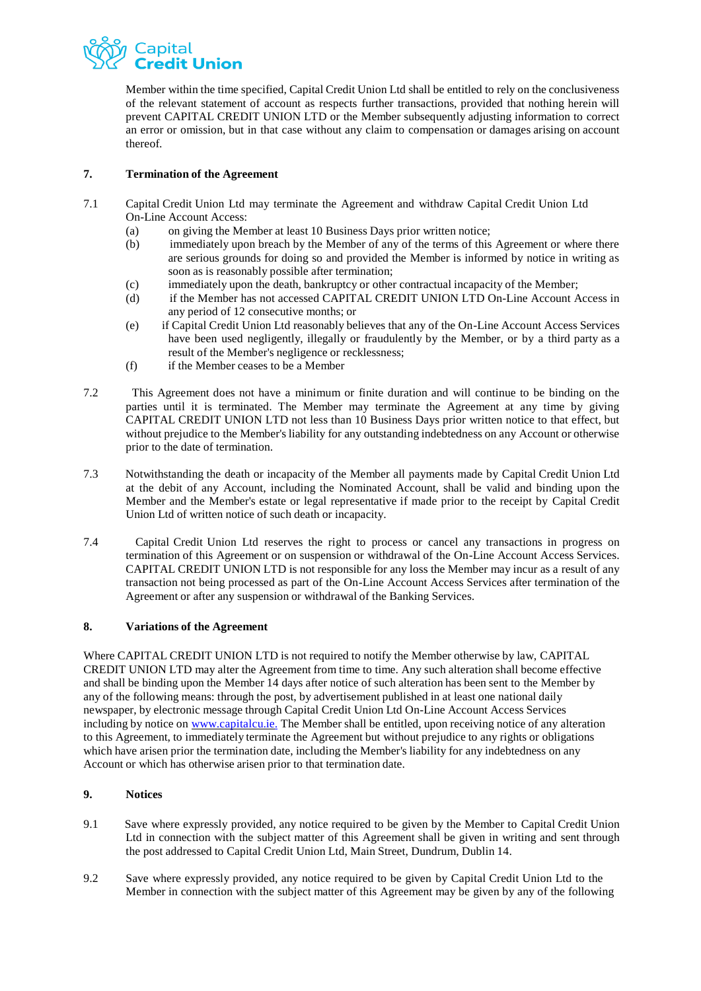

Member within the time specified, Capital Credit Union Ltd shall be entitled to rely on the conclusiveness of the relevant statement of account as respects further transactions, provided that nothing herein will prevent CAPITAL CREDIT UNION LTD or the Member subsequently adjusting information to correct an error or omission, but in that case without any claim to compensation or damages arising on account thereof.

## **7. Termination of the Agreement**

- 7.1 Capital Credit Union Ltd may terminate the Agreement and withdraw Capital Credit Union Ltd On-Line Account Access:
	- (a) on giving the Member at least 10 Business Days prior written notice;
	- (b) immediately upon breach by the Member of any of the terms of this Agreement or where there are serious grounds for doing so and provided the Member is informed by notice in writing as soon as is reasonably possible after termination;
	- (c) immediately upon the death, bankruptcy or other contractual incapacity of the Member;
	- (d) if the Member has not accessed CAPITAL CREDIT UNION LTD On-Line Account Access in any period of 12 consecutive months; or
	- (e) if Capital Credit Union Ltd reasonably believes that any of the On-Line Account Access Services have been used negligently, illegally or fraudulently by the Member, or by a third party as a result of the Member's negligence or recklessness;
	- (f) if the Member ceases to be a Member
- 7.2 This Agreement does not have a minimum or finite duration and will continue to be binding on the parties until it is terminated. The Member may terminate the Agreement at any time by giving CAPITAL CREDIT UNION LTD not less than 10 Business Days prior written notice to that effect, but without prejudice to the Member's liability for any outstanding indebtedness on any Account or otherwise prior to the date of termination.
- 7.3 Notwithstanding the death or incapacity of the Member all payments made by Capital Credit Union Ltd at the debit of any Account, including the Nominated Account, shall be valid and binding upon the Member and the Member's estate or legal representative if made prior to the receipt by Capital Credit Union Ltd of written notice of such death or incapacity.
- 7.4 Capital Credit Union Ltd reserves the right to process or cancel any transactions in progress on termination of this Agreement or on suspension or withdrawal of the On-Line Account Access Services. CAPITAL CREDIT UNION LTD is not responsible for any loss the Member may incur as a result of any transaction not being processed as part of the On-Line Account Access Services after termination of the Agreement or after any suspension or withdrawal of the Banking Services.

## **8. Variations of the Agreement**

Where CAPITAL CREDIT UNION LTD is not required to notify the Member otherwise by law, CAPITAL CREDIT UNION LTD may alter the Agreement from time to time. Any such alteration shall become effective and shall be binding upon the Member 14 days after notice of such alteration has been sent to the Member by any of the following means: through the post, by advertisement published in at least one national daily newspaper, by electronic message through Capital Credit Union Ltd On-Line Account Access Services including by notice on [www.capitalcu.ie.](http://www.capitalcu.ie./) The Member shall be entitled, upon receiving notice of any alteration to this Agreement, to immediately terminate the Agreement but without prejudice to any rights or obligations which have arisen prior the termination date, including the Member's liability for any indebtedness on any Account or which has otherwise arisen prior to that termination date.

## **9. Notices**

- 9.1 Save where expressly provided, any notice required to be given by the Member to Capital Credit Union Ltd in connection with the subject matter of this Agreement shall be given in writing and sent through the post addressed to Capital Credit Union Ltd, Main Street, Dundrum, Dublin 14.
- 9.2 Save where expressly provided, any notice required to be given by Capital Credit Union Ltd to the Member in connection with the subject matter of this Agreement may be given by any of the following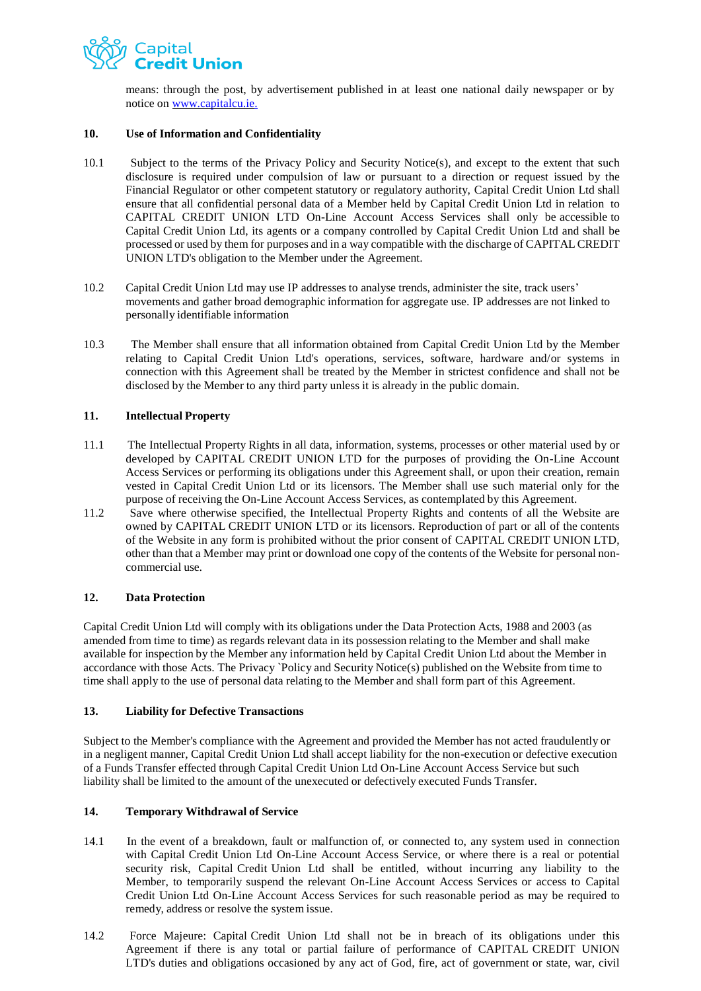

means: through the post, by advertisement published in at least one national daily newspaper or by notice on [www.capitalcu.ie.](http://www.capitalcu.ie./)

## **10. Use of Information and Confidentiality**

- 10.1 Subject to the terms of the Privacy Policy and Security Notice(s), and except to the extent that such disclosure is required under compulsion of law or pursuant to a direction or request issued by the Financial Regulator or other competent statutory or regulatory authority, Capital Credit Union Ltd shall ensure that all confidential personal data of a Member held by Capital Credit Union Ltd in relation to CAPITAL CREDIT UNION LTD On-Line Account Access Services shall only be accessible to Capital Credit Union Ltd, its agents or a company controlled by Capital Credit Union Ltd and shall be processed or used by them for purposes and in a way compatible with the discharge of CAPITALCREDIT UNION LTD's obligation to the Member under the Agreement.
- 10.2 Capital Credit Union Ltd may use IP addresses to analyse trends, administer the site, track users' movements and gather broad demographic information for aggregate use. IP addresses are not linked to personally identifiable information
- 10.3 The Member shall ensure that all information obtained from Capital Credit Union Ltd by the Member relating to Capital Credit Union Ltd's operations, services, software, hardware and/or systems in connection with this Agreement shall be treated by the Member in strictest confidence and shall not be disclosed by the Member to any third party unless it is already in the public domain.

## **11. Intellectual Property**

- 11.1 The Intellectual Property Rights in all data, information, systems, processes or other material used by or developed by CAPITAL CREDIT UNION LTD for the purposes of providing the On-Line Account Access Services or performing its obligations under this Agreement shall, or upon their creation, remain vested in Capital Credit Union Ltd or its licensors. The Member shall use such material only for the purpose of receiving the On-Line Account Access Services, as contemplated by this Agreement.
- 11.2 Save where otherwise specified, the Intellectual Property Rights and contents of all the Website are owned by CAPITAL CREDIT UNION LTD or its licensors. Reproduction of part or all of the contents of the Website in any form is prohibited without the prior consent of CAPITAL CREDIT UNION LTD, other than that a Member may print or download one copy of the contents of the Website for personal noncommercial use.

#### **12. Data Protection**

Capital Credit Union Ltd will comply with its obligations under the Data Protection Acts, 1988 and 2003 (as amended from time to time) as regards relevant data in its possession relating to the Member and shall make available for inspection by the Member any information held by Capital Credit Union Ltd about the Member in accordance with those Acts. The Privacy `Policy and Security Notice(s) published on the Website from time to time shall apply to the use of personal data relating to the Member and shall form part of this Agreement.

## **13. Liability for Defective Transactions**

Subject to the Member's compliance with the Agreement and provided the Member has not acted fraudulently or in a negligent manner, Capital Credit Union Ltd shall accept liability for the non-execution or defective execution of a Funds Transfer effected through Capital Credit Union Ltd On-Line Account Access Service but such liability shall be limited to the amount of the unexecuted or defectively executed Funds Transfer.

#### **14. Temporary Withdrawal of Service**

- 14.1 In the event of a breakdown, fault or malfunction of, or connected to, any system used in connection with Capital Credit Union Ltd On-Line Account Access Service, or where there is a real or potential security risk, Capital Credit Union Ltd shall be entitled, without incurring any liability to the Member, to temporarily suspend the relevant On-Line Account Access Services or access to Capital Credit Union Ltd On-Line Account Access Services for such reasonable period as may be required to remedy, address or resolve the system issue.
- 14.2 Force Majeure: Capital Credit Union Ltd shall not be in breach of its obligations under this Agreement if there is any total or partial failure of performance of CAPITAL CREDIT UNION LTD's duties and obligations occasioned by any act of God, fire, act of government or state, war, civil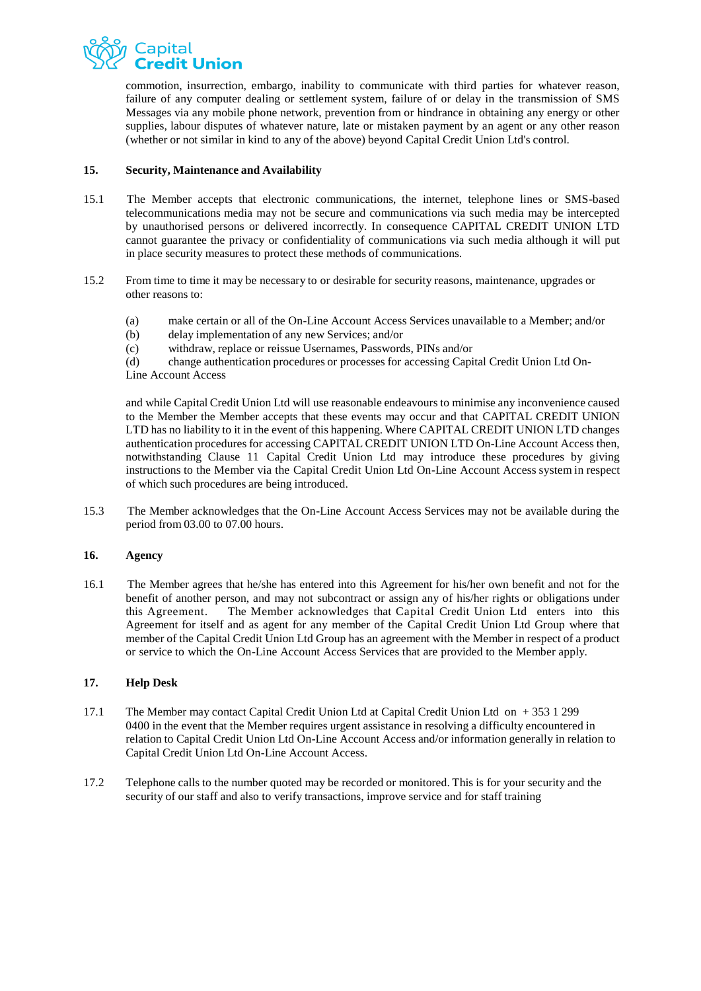

commotion, insurrection, embargo, inability to communicate with third parties for whatever reason, failure of any computer dealing or settlement system, failure of or delay in the transmission of SMS Messages via any mobile phone network, prevention from or hindrance in obtaining any energy or other supplies, labour disputes of whatever nature, late or mistaken payment by an agent or any other reason (whether or not similar in kind to any of the above) beyond Capital Credit Union Ltd's control.

## **15. Security, Maintenance and Availability**

- 15.1 The Member accepts that electronic communications, the internet, telephone lines or SMS-based telecommunications media may not be secure and communications via such media may be intercepted by unauthorised persons or delivered incorrectly. In consequence CAPITAL CREDIT UNION LTD cannot guarantee the privacy or confidentiality of communications via such media although it will put in place security measures to protect these methods of communications.
- 15.2 From time to time it may be necessary to or desirable for security reasons, maintenance, upgrades or other reasons to:
	- (a) make certain or all of the On-Line Account Access Services unavailable to a Member; and/or
	- (b) delay implementation of any new Services; and/or
	- (c) withdraw, replace or reissue Usernames, Passwords, PINs and/or

(d) change authentication procedures or processes for accessing Capital Credit Union Ltd On-Line Account Access

and while Capital Credit Union Ltd will use reasonable endeavours to minimise any inconvenience caused to the Member the Member accepts that these events may occur and that CAPITAL CREDIT UNION LTD has no liability to it in the event of this happening. Where CAPITAL CREDIT UNION LTD changes authentication procedures for accessing CAPITAL CREDIT UNION LTD On-Line Account Access then, notwithstanding Clause 11 Capital Credit Union Ltd may introduce these procedures by giving instructions to the Member via the Capital Credit Union Ltd On-Line Account Access system in respect of which such procedures are being introduced.

15.3 The Member acknowledges that the On-Line Account Access Services may not be available during the period from 03.00 to 07.00 hours.

## **16. Agency**

16.1 The Member agrees that he/she has entered into this Agreement for his/her own benefit and not for the benefit of another person, and may not subcontract or assign any of his/her rights or obligations under this Agreement. The Member acknowledges that Capital Credit Union Ltd enters into this Agreement for itself and as agent for any member of the Capital Credit Union Ltd Group where that member of the Capital Credit Union Ltd Group has an agreement with the Member in respect of a product or service to which the On-Line Account Access Services that are provided to the Member apply.

#### **17. Help Desk**

- 17.1 The Member may contact Capital Credit Union Ltd at Capital Credit Union Ltd on + 353 1 299 0400 in the event that the Member requires urgent assistance in resolving a difficulty encountered in relation to Capital Credit Union Ltd On-Line Account Access and/or information generally in relation to Capital Credit Union Ltd On-Line Account Access.
- 17.2 Telephone calls to the number quoted may be recorded or monitored. This is for your security and the security of our staff and also to verify transactions, improve service and for staff training